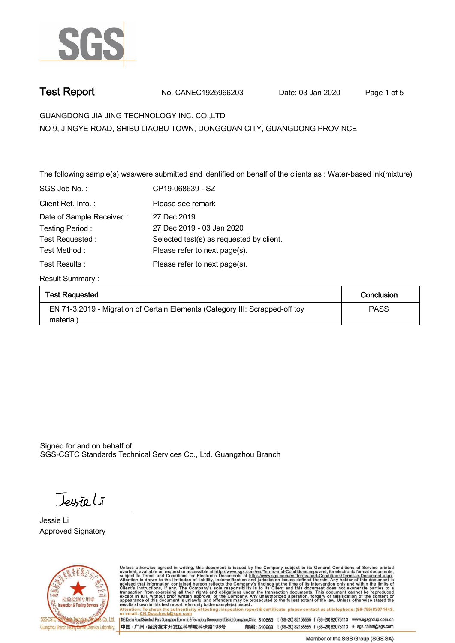

**Test Report. No. CANEC1925966203 Date: 03 Jan 2020. Page 1 of 5.**

**GUANGDONG JIA JING TECHNOLOGY INC. CO.,LTD . NO 9, JINGYE ROAD, SHIBU LIAOBU TOWN, DONGGUAN CITY, GUANGDONG PROVINCE**

The following sample(s) was/were submitted and identified on behalf of the clients as : Water-based ink(mixture)

| SGS Job No.:             | CP19-068639 - SZ                         |
|--------------------------|------------------------------------------|
| Client Ref. Info.:       | Please see remark                        |
| Date of Sample Received: | 27 Dec 2019                              |
| Testing Period:          | 27 Dec 2019 - 03 Jan 2020                |
| Test Requested:          | Selected test(s) as requested by client. |
| Test Method :            | Please refer to next page(s).            |
| Test Results :           | Please refer to next page(s).            |
|                          |                                          |

**Result Summary :.**

| <b>Test Requested</b>                                                        | Conclusion  |
|------------------------------------------------------------------------------|-------------|
| EN 71-3:2019 - Migration of Certain Elements (Category III: Scrapped-off toy | <b>PASS</b> |
| material)                                                                    |             |

Signed for and on behalf of SGS-CSTC Standards Technical Services Co., Ltd. Guangzhou Branch.

Jessieli

**Jessie Li. Approved Signatory . . .**



Unless otherwise agreed in writing, this document is issued by the Company subject to its General Conditions of Service printed overleaf, available on request or accessible at http://www.sgs.com/en/Terms-and-Conditions.asp Attention: To check the authenticity of testing /inspection report & certificate, please contact us at telephone: (86-755) 8307 1443,<br>Attention: To check the authenticity of testing /inspection report & certificate, please

198 Kezhu Road,Scientech Park Guangzhou Economic & Technology Development District,Guangzhou,China 510663 t (86-20) 82155555 f (86-20) 82075113 www.sgsgroup.com.cn 中国·广州·经济技术开发区科学城科珠路198号 邮编: 510663 t (86-20) 82155555 f (86-20) 82075113 e sgs.china@sgs.com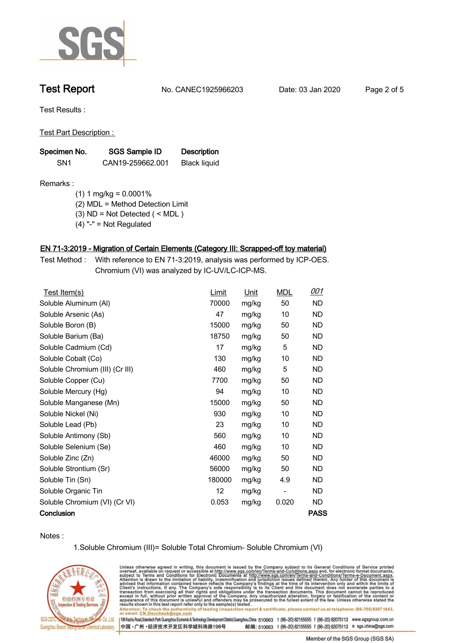

**Test Report. No. CANEC1925966203 Date: 03 Jan 2020. Page 2 of 5.**

**Test Results :.**

**Test Part Description : .**

| Specimen No.    | SGS Sample ID    | <b>Description</b>  |
|-----------------|------------------|---------------------|
| SN <sub>1</sub> | CAN19-259662.001 | <b>Black liquid</b> |

**Remarks :**

 **(1) 1 mg/kg = 0.0001%**

 **(2) MDL = Method Detection Limit**

 **(3) ND = Not Detected ( < MDL )**

 **(4) "-" = Not Regulated**

# **EN 71-3:2019 - Migration of Certain Elements (Category III: Scrapped-off toy material).**

**Test Method :. With reference to EN 71-3:2019, analysis was performed by ICP-OES. Chromium (VI) was analyzed by IC-UV/LC-ICP-MS. .**

| Test Item(s)                    | Limit  | Unit  | <b>MDL</b>               | <u>001</u>  |
|---------------------------------|--------|-------|--------------------------|-------------|
| Soluble Aluminum (AI)           | 70000  | mg/kg | 50                       | ND.         |
| Soluble Arsenic (As)            | 47     | mg/kg | 10                       | <b>ND</b>   |
| Soluble Boron (B)               | 15000  | mg/kg | 50                       | <b>ND</b>   |
| Soluble Barium (Ba)             | 18750  | mg/kg | 50                       | <b>ND</b>   |
| Soluble Cadmium (Cd)            | 17     | mg/kg | 5                        | ND.         |
| Soluble Cobalt (Co)             | 130    | mg/kg | 10                       | <b>ND</b>   |
| Soluble Chromium (III) (Cr III) | 460    | mg/kg | 5                        | ND.         |
| Soluble Copper (Cu)             | 7700   | mg/kg | 50                       | <b>ND</b>   |
| Soluble Mercury (Hg)            | 94     | mg/kg | 10                       | <b>ND</b>   |
| Soluble Manganese (Mn)          | 15000  | mg/kg | 50                       | <b>ND</b>   |
| Soluble Nickel (Ni)             | 930    | mg/kg | 10                       | ND.         |
| Soluble Lead (Pb)               | 23     | mg/kg | 10                       | ND.         |
| Soluble Antimony (Sb)           | 560    | mg/kg | 10                       | ND.         |
| Soluble Selenium (Se)           | 460    | mg/kg | 10                       | <b>ND</b>   |
| Soluble Zinc (Zn)               | 46000  | mg/kg | 50                       | ND.         |
| Soluble Strontium (Sr)          | 56000  | mg/kg | 50                       | <b>ND</b>   |
| Soluble Tin (Sn)                | 180000 | mg/kg | 4.9                      | ND.         |
| Soluble Organic Tin             | 12     | mg/kg | $\overline{\phantom{a}}$ | <b>ND</b>   |
| Soluble Chromium (VI) (Cr VI)   | 0.053  | mg/kg | 0.020                    | ND.         |
| Conclusion                      |        |       |                          | <b>PASS</b> |

**Notes :.**

**1.Soluble Chromium (III)= Soluble Total Chromium- Soluble Chromium (VI)**



Unless otherwise agreed in writing, this document is issued by the Company subject to its General Conditions of Service printed overleaf, available on request or accessible at http://www.sgs.com/en/Terms-and-Conditions.asp results snown in this test report refer only to the sample(s) tested .<br>Attention: To check the authenticity of testing /inspection report & certificate, please contact us at telephone: (86-755) 8307 1443,<br>or email: <u>CN.Doc</u>

198 Kezhu Road,Scientech Park Guangzhou Economic & Technology Development District,Guangzhou,China 510663 t (86-20) 82155555 f (86-20) 82075113 www.sgsgroup.com.cn 邮编: 510663 t (86-20) 82155555 f (86-20) 82075113 e sgs.china@sgs.com 中国·广州·经济技术开发区科学城科珠路198号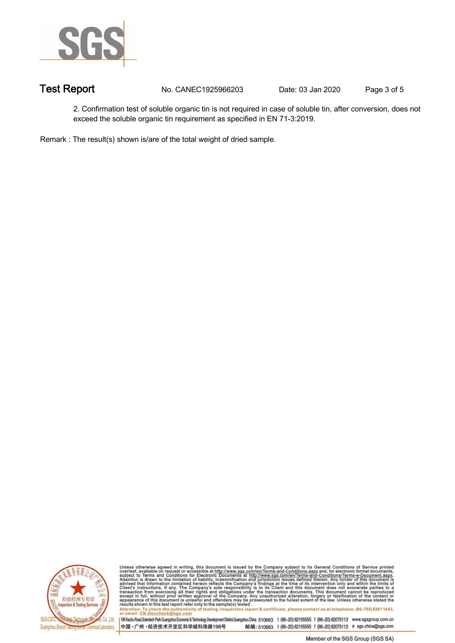

**Test Report. No. CANEC1925966203** Date: 03 Jan 2020 Page 3 of 5

**2. Confirmation test of soluble organic tin is not required in case of soluble tin, after conversion, does not exceed the soluble organic tin requirement as specified in EN 71-3:2019. .**

**Remark : The result(s) shown is/are of the total weight of dried sample. .**



Unless otherwise agreed in writing, this document is issued by the Company subject to its General Conditions of Service printed<br>overleaf, available on request or accessible at http://www.sgs.com/en/Terms-and-Conditions.asp results shown in this test report refer only to the sample(s) tested .<br>Attention: To check the authenticity of testing /inspection report & certificate, please contact us at telephone: (86-755) 8307 1443,<br>or email: <u>CN.Doc</u>

198 Kezhu Road,Scientech Park Guangzhou Economic & Technology Development District,Guangzhou,China 510663 t (86-20) 82155555 f (86-20) 82075113 www.sgsgroup.com.cn

中国·广州·经济技术开发区科学城科珠路198号 邮编: 510663 t (86-20) 82155555 f (86-20) 82075113 e sgs.china@sgs.com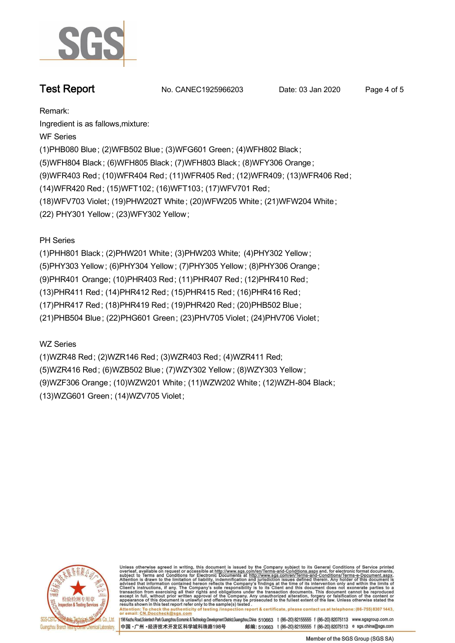

**Test Report No. CANEC1925966203** Date: 03 Jan 2020 Page 4 of 5

**Remark:**

**Ingredient is as fallows,mixture:**

**WF Series**

**(1)PHB080 Blue; (2)WFB502 Blue; (3)WFG601 Green; (4)WFH802 Black ;**

**(5)WFH804 Black ; (6)WFH805 Black ; (7)WFH803 Black ; (8)WFY306 Orange;**

**(9)WFR403 Red; (10)WFR404 Red; (11)WFR405 Red; (12)WFR409; (13)WFR406 Red;**

**(14)WFR420 Red; (15)WFT102; (16)WFT103; (17)WFV701 Red;**

**(18)WFV703 Violet; (19)PHW202T White ; (20)WFW205 White; (21)WFW204 White;**

**(22) PHY301 Yellow ; (23)WFY302 Yellow ;**

**PH Series**

**(1)PHH801 Black ; (2)PHW201 White; (3)PHW203 White; (4)PHY302 Yellow ;**

**(5)PHY303 Yellow ; (6)PHY304 Yellow ; (7)PHY305 Yellow ; (8)PHY306 Orange ;**

**(9)PHR401 Orange; (10)PHR403 Red; (11)PHR407 Red; (12)PHR410 Red;**

**(13)PHR411 Red; (14)PHR412 Red; (15)PHR415 Red; (16)PHR416 Red;**

**(17)PHR417 Red; (18)PHR419 Red; (19)PHR420 Red; (20)PHB502 Blue;**

**(21)PHB504 Blue; (22)PHG601 Green; (23)PHV705 Violet ; (24)PHV706 Violet ;**

**WZ Series**

**(1)WZR48 Red; (2)WZR146 Red; (3)WZR403 Red; (4)WZR411 Red; (5)WZR416 Red; (6)WZB502 Blue; (7)WZY302 Yellow ; (8)WZY303 Yellow ; (9)WZF306 Orange; (10)WZW201 White; (11)WZW202 White; (12)WZH-804 Black; (13)WZG601 Green; (14)WZV705 Violet;**



Unless otherwise agreed in writing, this document is issued by the Company subject to its General Conditions of Service printed overleaf, available on request or accessible at http://www.sgs.com/en/Terms-and-Conditions.asp resums shown in mas lost report tells with one sample(s) lesied .<br>Attention: To check the authenticity of testing /inspection report & certificate, please contact us at telephone: (86-755) 8307 1443,<br>or email: <u>CN.Doccheck</u>

198 Kezhu Road,Scientech Park Guangzhou Economic & Technology Development District,Guangzhou,China 510663 t (86-20) 82155555 f (86-20) 82075113 www.sgsgroup.com.cn 中国·广州·经济技术开发区科学城科珠路198号 邮编: 510663 t (86-20) 82155555 f (86-20) 82075113 e sgs.china@sgs.com